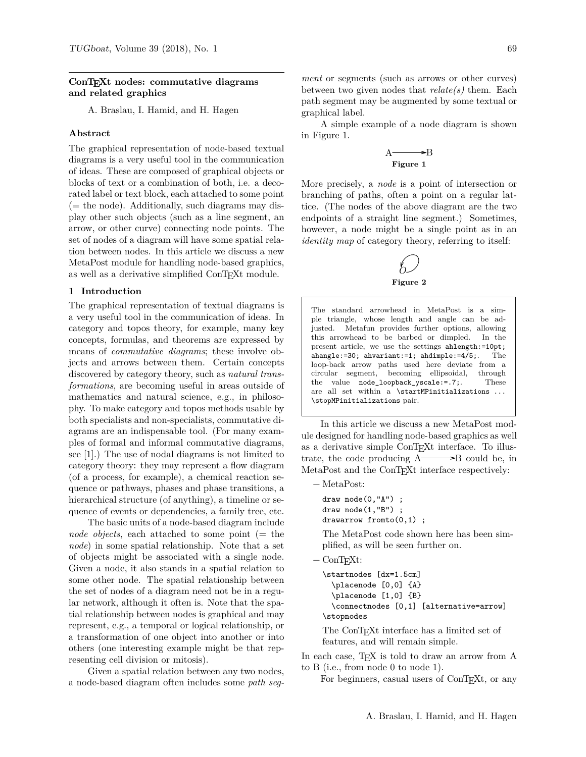## **ConTEXt nodes: commutative diagrams and related graphics**

A. Braslau, I. Hamid, and H. Hagen

#### **Abstract**

The graphical representation of node-based textual diagrams is a very useful tool in the communication of ideas. These are composed of graphical objects or blocks of text or a combination of both, i.e. a decorated label or text block, each attached to some point  $($  = the node). Additionally, such diagrams may display other such objects (such as a line segment, an arrow, or other curve) connecting node points. The set of nodes of a diagram will have some spatial relation between nodes. In this article we discuss a new MetaPost module for handling node-based graphics, as well as a derivative simplified ConTEXt module.

# **1 Introduction**

The graphical representation of textual diagrams is a very useful tool in the communication of ideas. In category and topos theory, for example, many key concepts, formulas, and theorems are expressed by means of *commutative diagrams*; these involve objects and arrows between them. Certain concepts discovered by category theory, such as *natural transformations*, are becoming useful in areas outside of mathematics and natural science, e.g., in philosophy. To make category and topos methods usable by both specialists and non-specialists, commutative diagrams are an indispensable tool. (For many examples of formal and informal commutative diagrams, see [1].) The use of nodal diagrams is not limited to category theory: they may represent a flow diagram (of a process, for example), a chemical reaction sequence or pathways, phases and phase transitions, a hierarchical structure (of anything), a timeline or sequence of events or dependencies, a family tree, etc.

The basic units of a node-based diagram include *node objects*, each attached to some point (= the *node*) in some spatial relationship. Note that a set of objects might be associated with a single node. Given a node, it also stands in a spatial relation to some other node. The spatial relationship between the set of nodes of a diagram need not be in a regular network, although it often is. Note that the spatial relationship between nodes is graphical and may represent, e.g., a temporal or logical relationship, or a transformation of one object into another or into others (one interesting example might be that representing cell division or mitosis).

Given a spatial relation between any two nodes, a node-based diagram often includes some *path seg-* *ment* or segments (such as arrows or other curves) between two given nodes that *relate(s)* them. Each path segment may be augmented by some textual or graphical label.

A simple example of a node diagram is shown in Figure 1.

### $A \longrightarrow B$ **Figure 1**

More precisely, a *node* is a point of intersection or branching of paths, often a point on a regular lattice. (The nodes of the above diagram are the two endpoints of a straight line segment.) Sometimes, however, a node might be a single point as in an *identity map* of category theory, referring to itself:



The standard arrowhead in MetaPost is a simple triangle, whose length and angle can be adjusted. Metafun provides further options, allowing this arrowhead to be barbed or dimpled. In the present article, we use the settings ahlength:=10pt; ahangle:=30; ahvariant:=1; ahdimple:=4/5;. The loop-back arrow paths used here deviate from a circular segment, becoming ellipsoidal, through the value node\_loopback\_yscale:=.7;. These are all set within a \startMPinitializations  $\ldots$ \stopMPinitializations pair.

In this article we discuss a new MetaPost module designed for handling node-based graphics as well as a derivative simple ConT<sub>E</sub>Xt interface. To illustrate, the code producing  $A \rightarrow B$  could be, in MetaPost and the ConTEXt interface respectively:

− MetaPost:

draw node(0,"A") ; draw node(1,"B") ; drawarrow fromto(0,1) ;

The MetaPost code shown here has been simplified, as will be seen further on.

− ConTEXt:

\startnodes [dx=1.5cm] \placenode [0,0] {A} \placenode [1,0] {B} \connectnodes [0,1] [alternative=arrow] \stopnodes The ConTEXt interface has a limited set of

features, and will remain simple. In each case, T<sub>E</sub>X is told to draw an arrow from A to B (i.e., from node 0 to node 1).

For beginners, casual users of ConT<sub>E</sub>Xt, or any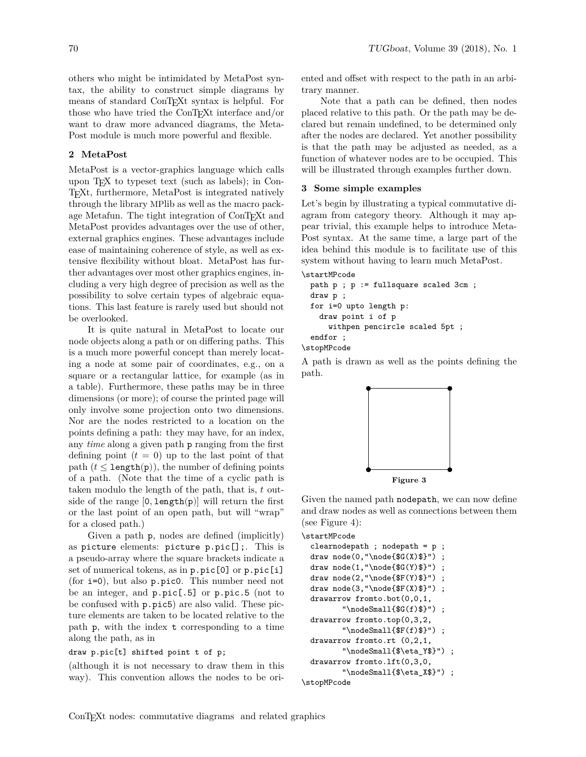others who might be intimidated by MetaPost syntax, the ability to construct simple diagrams by means of standard ConT<sub>E</sub>Xt syntax is helpful. For those who have tried the ConTEXt interface and/or want to draw more advanced diagrams, the Meta-Post module is much more powerful and flexible.

### **2 MetaPost**

MetaPost is a vector-graphics language which calls upon  $T_F X$  to typeset text (such as labels); in Con-TEXt, furthermore, MetaPost is integrated natively through the library MPlib as well as the macro package Metafun. The tight integration of ConTEXt and MetaPost provides advantages over the use of other, external graphics engines. These advantages include ease of maintaining coherence of style, as well as extensive flexibility without bloat. MetaPost has further advantages over most other graphics engines, including a very high degree of precision as well as the possibility to solve certain types of algebraic equations. This last feature is rarely used but should not be overlooked.

It is quite natural in MetaPost to locate our node objects along a path or on differing paths. This is a much more powerful concept than merely locating a node at some pair of coordinates, e.g., on a square or a rectangular lattice, for example (as in a table). Furthermore, these paths may be in three dimensions (or more); of course the printed page will only involve some projection onto two dimensions. Nor are the nodes restricted to a location on the points defining a path: they may have, for an index, any *time* along a given path p ranging from the first defining point  $(t = 0)$  up to the last point of that path  $(t \leq \text{length}(p))$ , the number of defining points of a path. (Note that the time of a cyclic path is taken modulo the length of the path, that is,  $t$  outside of the range  $[0, \text{length}(p)]$  will return the first or the last point of an open path, but will "wrap" for a closed path.)

Given a path p, nodes are defined (implicitly) as picture elements: picture p.pic[];. This is a pseudo-array where the square brackets indicate a set of numerical tokens, as in p.pic[0] or p.pic[i] (for i=0), but also p.pic0. This number need not be an integer, and p.pic[.5] or p.pic.5 (not to be confused with p.pic5) are also valid. These picture elements are taken to be located relative to the path p, with the index t corresponding to a time along the path, as in

# draw p.pic[t] shifted point t of p;

(although it is not necessary to draw them in this way). This convention allows the nodes to be oriented and offset with respect to the path in an arbitrary manner.

Note that a path can be defined, then nodes placed relative to this path. Or the path may be declared but remain undefined, to be determined only after the nodes are declared. Yet another possibility is that the path may be adjusted as needed, as a function of whatever nodes are to be occupied. This will be illustrated through examples further down.

## **3 Some simple examples**

Let's begin by illustrating a typical commutative diagram from category theory. Although it may appear trivial, this example helps to introduce Meta-Post syntax. At the same time, a large part of the idea behind this module is to facilitate use of this system without having to learn much MetaPost.

### \startMPcode

```
path p ; p := fullsquare scaled 3cm ;
 draw p ;
  for i=0 upto length p:
    draw point i of p
      withpen pencircle scaled 5pt ;
  endfor ;
\stopMPcode
```
A path is drawn as well as the points defining the path.



Given the named path nodepath, we can now define and draw nodes as well as connections between them (see Figure 4):

\startMPcode

```
clearnodepath ; nodepath = p ;
  draw node(0, "node{\$(X)\$}'') ;
  draw node(1,"\node{$G(Y)$}") ;
  draw node(2,"\node{$F(Y)$}") ;
  draw node(3,"\node{$F(X)$}") ;
  drawarrow fromto.bot(0,0,1,
         "\nodeSmall{\$(f)$$\}") ;
  drawarrow fromto.top(0,3,2,
         "\nodeSmall{$F(f)$}") ;
  drawarrow fromto.rt (0,2,1,
         "\nodeSmall{$\eta_Y$}") ;
  drawarrow fromto.lft(0,3,0,
         "\nodeSmall{$\eta_X$}") ;
\stopMPcode
```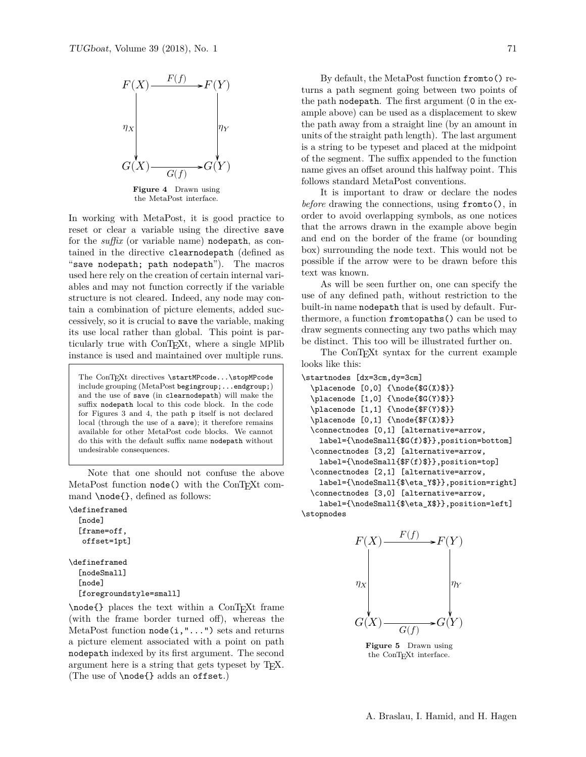

In working with MetaPost, it is good practice to reset or clear a variable using the directive save for the *suffix* (or variable name) nodepath, as contained in the directive clearnodepath (defined as "save nodepath; path nodepath"). The macros used here rely on the creation of certain internal variables and may not function correctly if the variable structure is not cleared. Indeed, any node may contain a combination of picture elements, added successively, so it is crucial to save the variable, making its use local rather than global. This point is particularly true with ConT<sub>E</sub>X<sub>t</sub>, where a single MPlib instance is used and maintained over multiple runs.

The ConTEXt directives \startMPcode...\stopMPcode include grouping (MetaPost begingroup;...endgroup;) and the use of save (in clearnodepath) will make the suffix nodepath local to this code block. In the code for Figures 3 and 4, the path p itself is not declared local (through the use of a save); it therefore remains available for other MetaPost code blocks. We cannot do this with the default suffix name nodepath without undesirable consequences.

Note that one should not confuse the above MetaPost function node() with the ConTEXt command \node{}, defined as follows:

\defineframed

```
[node]
[frame=off,
offset=1pt]
```
\defineframed [nodeSmall] [node] [foregroundstyle=small]

\node{} places the text within a ConTEXt frame (with the frame border turned off), whereas the MetaPost function node(i,"...") sets and returns a picture element associated with a point on path nodepath indexed by its first argument. The second argument here is a string that gets typeset by T<sub>E</sub>X. (The use of \node{} adds an offset.)

By default, the MetaPost function fromto() returns a path segment going between two points of the path nodepath. The first argument (0 in the example above) can be used as a displacement to skew the path away from a straight line (by an amount in units of the straight path length). The last argument is a string to be typeset and placed at the midpoint of the segment. The suffix appended to the function name gives an offset around this halfway point. This follows standard MetaPost conventions.

It is important to draw or declare the nodes *before* drawing the connections, using fromto(), in order to avoid overlapping symbols, as one notices that the arrows drawn in the example above begin and end on the border of the frame (or bounding box) surrounding the node text. This would not be possible if the arrow were to be drawn before this text was known.

As will be seen further on, one can specify the use of any defined path, without restriction to the built-in name nodepath that is used by default. Furthermore, a function fromtopaths() can be used to draw segments connecting any two paths which may be distinct. This too will be illustrated further on.

The ConTEXt syntax for the current example looks like this:

```
\startnodes [dx=3cm,dy=3cm]
  \placenode [0,0] {\node{$G(X)$}}
  \Delta cenode [1,0] {\n 6G(Y) }}
  \label{thm:1} $$\placenode [1,1] _{\node{$F(Y)$}}}\\Delta \text{F(X)}\connectnodes [0,1] [alternative=arrow,
    label={\nodeSmall{$G(f)$}},position=bottom]
  \connectnodes [3,2] [alternative=arrow,
    label={\nodeSmall{$F(f)$}},position=top]
  \connectnodes [2,1] [alternative=arrow,
    label={\nodeSmall{$\eta_Y$}},position=right]
  \connectnodes [3,0] [alternative=arrow,
    label={\nodeSmall{$\eta_X$}},position=left]
```
\stopnodes



**Figure 5** Drawn using the ConTEXt interface.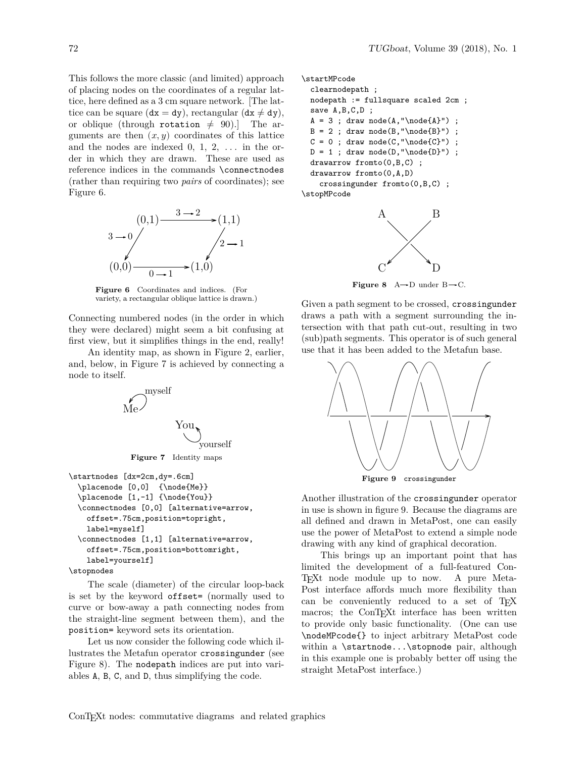This follows the more classic (and limited) approach of placing nodes on the coordinates of a regular lattice, here defined as a 3 cm square network. [The lattice can be square  $(dx = dy)$ , rectangular  $(dx \neq dy)$ , or oblique (through rotation  $\neq$  90).] The arguments are then  $(x, y)$  coordinates of this lattice and the nodes are indexed  $0, 1, 2, \ldots$  in the order in which they are drawn. These are used as reference indices in the commands \connectnodes (rather than requiring two *pairs* of coordinates); see Figure 6.



**Figure 6** Coordinates and indices. (For variety, a rectangular oblique lattice is drawn.)

Connecting numbered nodes (in the order in which they were declared) might seem a bit confusing at first view, but it simplifies things in the end, really!

An identity map, as shown in Figure 2, earlier, and, below, in Figure 7 is achieved by connecting a node to itself.



```
\startnodes [dx=2cm,dy=.6cm]
  \placenode [0,0] {\node{Me}}
  \Delta cenode [1,-1] {\node{You}}
  \connectnodes [0,0] [alternative=arrow,
    offset=.75cm,position=topright,
    label=myself]
  \connectnodes [1,1] [alternative=arrow,
    offset=.75cm,position=bottomright,
   label=yourself]
\stopnodes
```
The scale (diameter) of the circular loop-back is set by the keyword offset= (normally used to curve or bow-away a path connecting nodes from the straight-line segment between them), and the position= keyword sets its orientation.

Let us now consider the following code which illustrates the Metafun operator crossingunder (see Figure 8). The nodepath indices are put into variables A, B, C, and D, thus simplifying the code.

\startMPcode

```
clearnodepath ;
 nodepath := fullsquare scaled 2cm ;
  save A,B,C,D ;
  A = 3; draw node(A, "\node{A}") ;
  B = 2; draw node(B,"\node{B}");
  C = 0; draw node(C, " \node{C}");
  D = 1; draw node(D,"\node{D}");
  drawarrow fromto(0,B,C) ;
  drawarrow fromto(0,A,D)
    crossingunder fromto(0,B,C) ;
\stopMPcode
```


**Figure 8** A  $\rightarrow$  D under B  $\rightarrow$  C.

Given a path segment to be crossed, crossingunder draws a path with a segment surrounding the intersection with that path cut-out, resulting in two (sub)path segments. This operator is of such general use that it has been added to the Metafun base.



**Figure 9** crossingunder

Another illustration of the crossingunder operator in use is shown in figure 9. Because the diagrams are all defined and drawn in MetaPost, one can easily use the power of MetaPost to extend a simple node drawing with any kind of graphical decoration.

This brings up an important point that has limited the development of a full-featured Con-TEXt node module up to now. A pure Meta-Post interface affords much more flexibility than can be conveniently reduced to a set of TEX macros; the ConT<sub>EXt</sub> interface has been written to provide only basic functionality. (One can use \nodeMPcode{} to inject arbitrary MetaPost code within a \startnode...\stopnode pair, although in this example one is probably better off using the straight MetaPost interface.)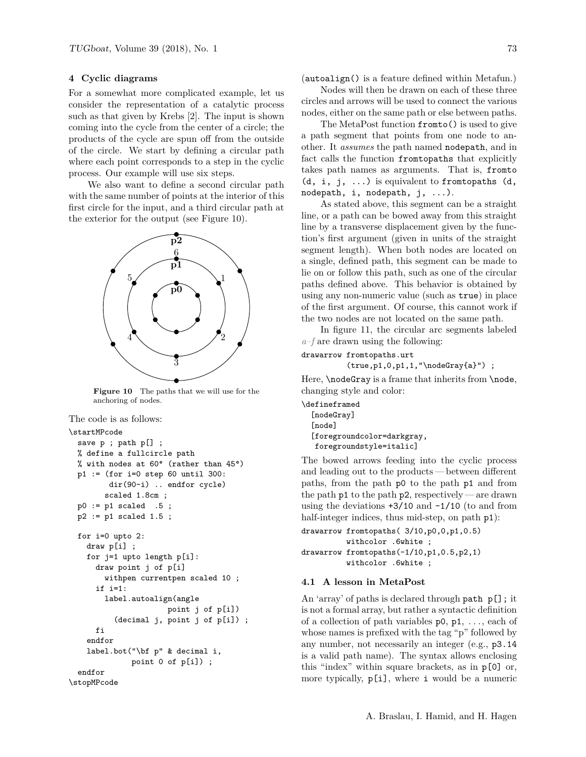### **4 Cyclic diagrams**

For a somewhat more complicated example, let us consider the representation of a catalytic process such as that given by Krebs [2]. The input is shown coming into the cycle from the center of a circle; the products of the cycle are spun off from the outside of the circle. We start by defining a circular path where each point corresponds to a step in the cyclic process. Our example will use six steps.

We also want to define a second circular path with the same number of points at the interior of this first circle for the input, and a third circular path at the exterior for the output (see Figure 10).



**Figure 10** The paths that we will use for the anchoring of nodes.

The code is as follows:

```
\startMPcode
 save p ; path p[] ;
 % define a fullcircle path
 % with nodes at 60° (rather than 45°)
 p1 := (for i=0 step 60 until 300:
        dir(90-i) .. endfor cycle)
        scaled 1.8cm ;
 p0 := p1 scaled .5;
 p2 := p1 scaled 1.5;
 for i=0 upto 2:
   draw p[i] ;
    for j=1 upto length p[i]:
      draw point j of p[i]
        withpen currentpen scaled 10 ;
      if i=1:
        label.autoalign(angle
                      point j of p[i])
          (decimal j, point j of p[i]) ;
      fi
    endfor
    label.bot("\bf p" & decimal i,
              point 0 of p[i]) ;
  endfor
\stopMPcode
```
(autoalign() is a feature defined within Metafun.)

Nodes will then be drawn on each of these three circles and arrows will be used to connect the various nodes, either on the same path or else between paths.

The MetaPost function fromto() is used to give a path segment that points from one node to another. It *assumes* the path named nodepath, and in fact calls the function fromtopaths that explicitly takes path names as arguments. That is, fromto  $(d, i, j, \ldots)$  is equivalent to from to paths  $(d, j, j, \ldots)$ nodepath, i, nodepath, j, ...).

As stated above, this segment can be a straight line, or a path can be bowed away from this straight line by a transverse displacement given by the function's first argument (given in units of the straight segment length). When both nodes are located on a single, defined path, this segment can be made to lie on or follow this path, such as one of the circular paths defined above. This behavior is obtained by using any non-numeric value (such as true) in place of the first argument. Of course, this cannot work if the two nodes are not located on the same path.

In figure 11, the circular arc segments labeled *a–f* are drawn using the following:

### drawarrow fromtopaths.urt

```
(true,p1,0,p1,1,"\nodeGray{a}") ;
```
Here, **\nodeGray** is a frame that inherits from **\node**, changing style and color:

\defineframed [nodeGray] [node] [foregroundcolor=darkgray, foregroundstyle=italic]

The bowed arrows feeding into the cyclic process and leading out to the products — between different paths, from the path p0 to the path p1 and from the path  $p1$  to the path  $p2$ , respectively — are drawn using the deviations  $+3/10$  and  $-1/10$  (to and from half-integer indices, thus mid-step, on path  $p1$ :

```
drawarrow fromtopaths( 3/10,p0,0,p1,0.5)
          withcolor .6white ;
drawarrow fromtopaths(-1/10,p1,0.5,p2,1)
          withcolor .6white ;
```
### **4.1 A lesson in MetaPost**

An 'array' of paths is declared through path p[]; it is not a formal array, but rather a syntactic definition of a collection of path variables  $p0, p1, \ldots$ , each of whose names is prefixed with the tag "p" followed by any number, not necessarily an integer (e.g., p3.14 is a valid path name). The syntax allows enclosing this "index" within square brackets, as in p[0] or, more typically, p[i], where i would be a numeric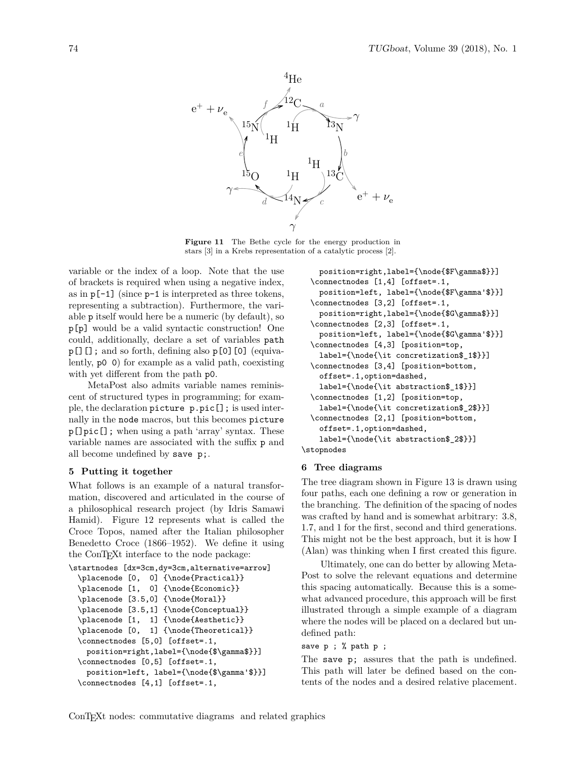

**Figure 11** The Bethe cycle for the energy production in stars [3] in a Krebs representation of a catalytic process [2].

variable or the index of a loop. Note that the use of brackets is required when using a negative index, as in  $p[-1]$  (since  $p-1$  is interpreted as three tokens, representing a subtraction). Furthermore, the variable p itself would here be a numeric (by default), so p[p] would be a valid syntactic construction! One could, additionally, declare a set of variables path p[][]; and so forth, defining also p[0][0] (equivalently, p0 0) for example as a valid path, coexisting with yet different from the path p0.

MetaPost also admits variable names reminiscent of structured types in programming; for example, the declaration picture p.pic[]; is used internally in the node macros, but this becomes picture p[]pic[]; when using a path 'array' syntax. These variable names are associated with the suffix p and all become undefined by save p;.

### **5 Putting it together**

What follows is an example of a natural transformation, discovered and articulated in the course of a philosophical research project (by Idris Samawi Hamid). Figure 12 represents what is called the Croce Topos, named after the Italian philosopher Benedetto Croce (1866–1952). We define it using the ConT<sub>E</sub>X<sup>†</sup> interface to the node package:

```
\startnodes [dx=3cm,dy=3cm,alternative=arrow]
  \placenode [0, 0] {\node{Practical}}
  \placenode [1, 0] {\node{Economic}}
  \placenode [3.5,0] {\node{Moral}}
  \placenode [3.5,1] {\node{Conceptual}}
  \placenode [1, 1] {\node{Aesthetic}}
  \placenode [0, 1] {\node{Theoretical}}
  \connectnodes [5,0] [offset=.1,
    position=right,label={\node{$\gamma$}}]
  \connectnodes [0,5] [offset=.1,
    position=left, label={\node{$\gamma'$}}]
  \connectnodes [4,1] [offset=.1,
```

```
position=right,label={\node{$F\gamma$}}]
  \connectnodes [1,4] [offset=.1,
    position=left, label={\node{$F\gamma'$}}]
  \connectnodes [3,2] [offset=.1,
   position=right,label={\node{$G\gamma$}}]
  \connectnodes [2,3] [offset=.1,
    position=left, label={\node{$G\gamma'$}}]
  \connectnodes [4,3] [position=top,
    label={\node{\it concretization$_1$}}]
  \connectnodes [3,4] [position=bottom,
    offset=.1,option=dashed,
    label={\node{\it abstraction$_1$}}]
  \connectnodes [1,2] [position=top,
    label={\node{\it concretization$_2$}}]
  \connectnodes [2,1] [position=bottom,
    offset=.1,option=dashed,
    label={\node{\it abstraction$_2$}}]
\stopnodes
```
#### **6 Tree diagrams**

The tree diagram shown in Figure 13 is drawn using four paths, each one defining a row or generation in the branching. The definition of the spacing of nodes was crafted by hand and is somewhat arbitrary: 3.8, 1.7, and 1 for the first, second and third generations. This might not be the best approach, but it is how I (Alan) was thinking when I first created this figure.

Ultimately, one can do better by allowing Meta-Post to solve the relevant equations and determine this spacing automatically. Because this is a somewhat advanced procedure, this approach will be first illustrated through a simple example of a diagram where the nodes will be placed on a declared but undefined path:

## save p ; % path p ;

The save p; assures that the path is undefined. This path will later be defined based on the contents of the nodes and a desired relative placement.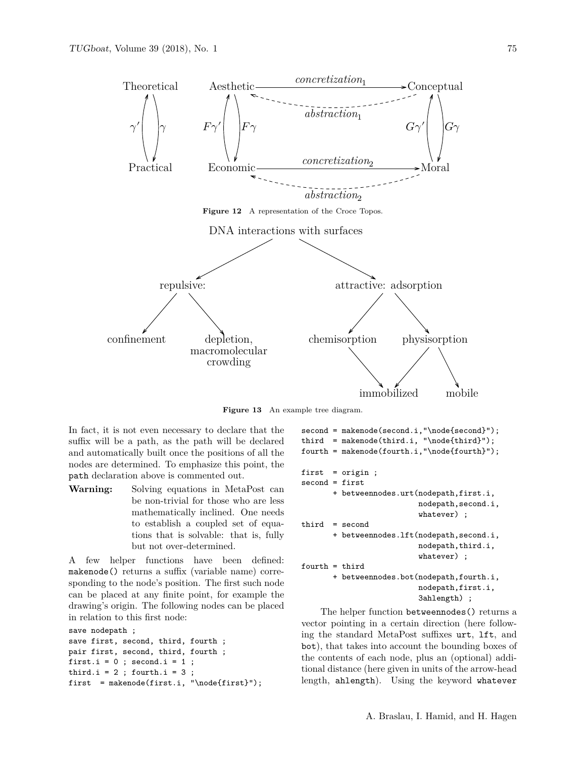

**Figure 13** An example tree diagram.

In fact, it is not even necessary to declare that the suffix will be a path, as the path will be declared and automatically built once the positions of all the nodes are determined. To emphasize this point, the path declaration above is commented out.

**Warning:** Solving equations in MetaPost can be non-trivial for those who are less mathematically inclined. One needs to establish a coupled set of equations that is solvable: that is, fully but not over-determined.

A few helper functions have been defined: makenode() returns a suffix (variable name) corresponding to the node's position. The first such node can be placed at any finite point, for example the drawing's origin. The following nodes can be placed in relation to this first node:

```
save nodepath ;
save first, second, third, fourth ;
pair first, second, third, fourth ;
first.i = 0; second.i = 1;
third.i = 2; fourth.i = 3;
first = makenode(first.i, "\node{first}");
```

```
second = makenode(second.i,"\node{second}");
third = makenode(third.i, "\node{third}");
fourth = makenode(fourth.i,"\node{fourth}");
first = origin ;
second = first+ betweennodes.urt(nodepath,first.i,
                          nodepath,second.i,
                          whatever) ;
third = second
       + betweennodes.lft(nodepath,second.i,
                          nodepath,third.i,
                          whatever) ;
fourth = third+ betweennodes.bot(nodepath,fourth.i,
                          nodepath,first.i,
                          3ahlength) ;
```
The helper function betweennodes() returns a vector pointing in a certain direction (here following the standard MetaPost suffixes urt, lft, and bot), that takes into account the bounding boxes of the contents of each node, plus an (optional) additional distance (here given in units of the arrow-head length, ahlength). Using the keyword whatever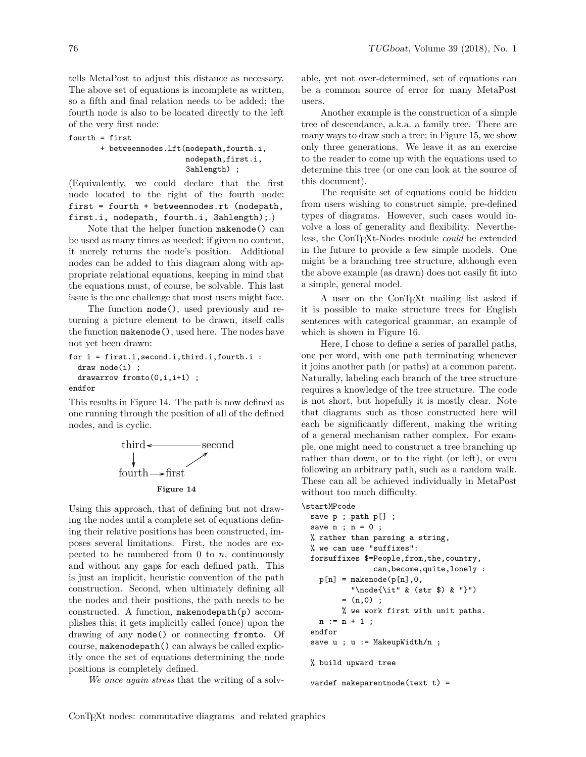tells MetaPost to adjust this distance as necessary. The above set of equations is incomplete as written, so a fifth and final relation needs to be added; the fourth node is also to be located directly to the left of the very first node:

#### fourth = first

+ betweennodes.lft(nodepath,fourth.i, nodepath,first.i, 3ahlength) ;

(Equivalently, we could declare that the first node located to the right of the fourth node: first = fourth + betweennodes.rt (nodepath, first.i, nodepath, fourth.i, 3ahlength);.)

Note that the helper function makenode() can be used as many times as needed; if given no content, it merely returns the node's position. Additional nodes can be added to this diagram along with appropriate relational equations, keeping in mind that the equations must, of course, be solvable. This last issue is the one challenge that most users might face.

The function node(), used previously and returning a picture element to be drawn, itself calls the function makenode(), used here. The nodes have not yet been drawn:

```
for i = first.i,second.i,third.i,fourth.i :
 draw node(i) ;
 drawarrow fromto(0,i,i+1) ;
endfor
```
This results in Figure 14. The path is now defined as one running through the position of all of the defined nodes, and is cyclic.



Using this approach, that of defining but not drawing the nodes until a complete set of equations defining their relative positions has been constructed, imposes several limitations. First, the nodes are expected to be numbered from 0 to  $n$ , continuously and without any gaps for each defined path. This is just an implicit, heuristic convention of the path construction. Second, when ultimately defining all the nodes and their positions, the path needs to be constructed. A function, makenodepath(p) accomplishes this; it gets implicitly called (once) upon the drawing of any node() or connecting fromto. Of course, makenodepath() can always be called explicitly once the set of equations determining the node positions is completely defined.

*We once again stress* that the writing of a solv-

able, yet not over-determined, set of equations can be a common source of error for many MetaPost users.

Another example is the construction of a simple tree of descendance, a.k.a. a family tree. There are many ways to draw such a tree; in Figure 15, we show only three generations. We leave it as an exercise to the reader to come up with the equations used to determine this tree (or one can look at the source of this document).

The requisite set of equations could be hidden from users wishing to construct simple, pre-defined types of diagrams. However, such cases would involve a loss of generality and flexibility. Nevertheless, the ConTEXt-Nodes module *could* be extended in the future to provide a few simple models. One might be a branching tree structure, although even the above example (as drawn) does not easily fit into a simple, general model.

A user on the ConTEXt mailing list asked if it is possible to make structure trees for English sentences with categorical grammar, an example of which is shown in Figure 16.

Here, I chose to define a series of parallel paths, one per word, with one path terminating whenever it joins another path (or paths) at a common parent. Naturally, labeling each branch of the tree structure requires a knowledge of the tree structure. The code is not short, but hopefully it is mostly clear. Note that diagrams such as those constructed here will each be significantly different, making the writing of a general mechanism rather complex. For example, one might need to construct a tree branching up rather than down, or to the right (or left), or even following an arbitrary path, such as a random walk. These can all be achieved individually in MetaPost without too much difficulty.

```
\startMPcode
```

```
save p ; path p[] ;
save n; n = 0;
% rather than parsing a string,
% we can use "suffixes":
forsuffixes $=People,from,the,country,
              can,become,quite,lonely :
 p[n] = makenode(p[n], 0,
         "\node{\it" & (str $) & "}")
       = (n,0);
      % we work first with unit paths.
 n := n + 1;endfor
save u ; u := MakeupWidth/n ;
% build upward tree
```
vardef makeparentnode(text t) =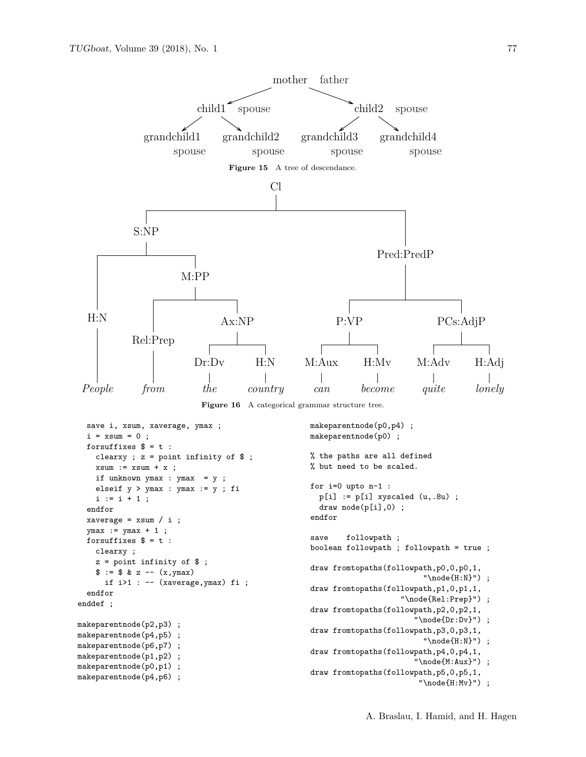$i := i + 1;$ 

xaverage =  $xsum / i$ ;  $ymax := ymax + 1$ ; forsuffixes  $$ = t :$ clearxy ;

makeparentnode(p2,p3) ; makeparentnode(p4,p5) ; makeparentnode(p6,p7) makeparentnode(p1,p2) makeparentnode(p0,p1) makeparentnode(p4,p6) ;

 $$ := $ & z -- (x, ymax)$ 

endfor

endfor enddef ;



```
elseif y > ymax : ymax := y ; fi
z = point infinity of $ ;
  if i>1 : -- (xaverage,ymax) fi ;
                                                for i=0 upto n-1 :
                                                  p[i] := p[i] xyscaled (u, .8u);
                                                  draw node(p[i],0) ;
                                                endfor
                                                save followpath ;
                                                boolean followpath ; followpath = true ;
                                                draw fromtopaths(followpath,p0,0,p0,1,
                                                                          "\node{H:N}") ;
                                                draw fromtopaths(followpath,p1,0,p1,1,
                                                                     "\node{Rel:Prep}") ;
                                                draw fromtopaths(followpath,p2,0,p2,1,
                                                                        "\node{Dr:Dv}") ;
                                                draw fromtopaths(followpath,p3,0,p3,1,
                                                                          "\node{H:N}") ;
                                                draw fromtopaths(followpath,p4,0,p4,1,
                                                                        "\node{M:Aux}") ;
```

```
draw fromtopaths(followpath,p5,0,p5,1,
                        "\node{H:Mv}") ;
```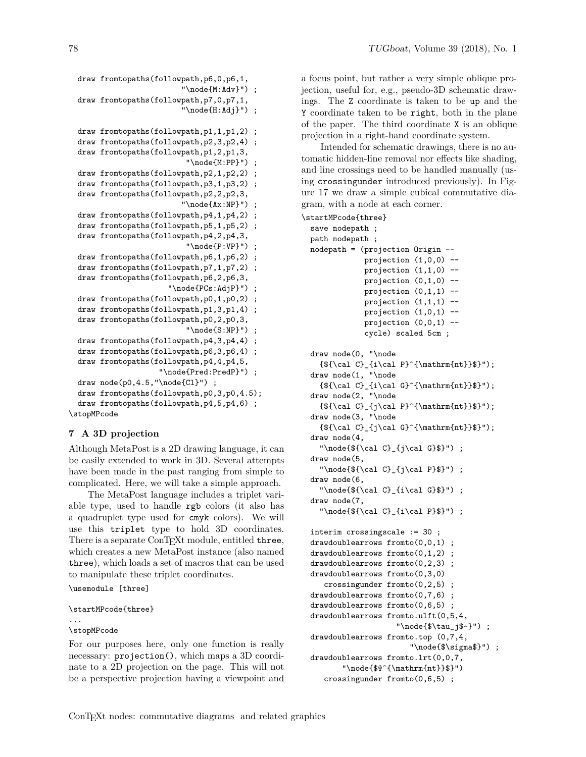draw fromtopaths(followpath,p6,0,p6,1, "\node{M:Adv}") ; draw fromtopaths(followpath,p7,0,p7,1, "\node{H:Adj}") ; draw fromtopaths(followpath,p1,1,p1,2) ; draw fromtopaths(followpath,p2,3,p2,4) ; draw fromtopaths(followpath,p1,2,p1,3, "\node{M:PP}") ; draw fromtopaths(followpath,p2,1,p2,2) ; draw fromtopaths(followpath,p3,1,p3,2) ; draw fromtopaths(followpath,p2,2,p2,3, "\node{Ax:NP}") ; draw fromtopaths(followpath,p4,1,p4,2) ; draw fromtopaths(followpath,p5,1,p5,2) ; draw fromtopaths(followpath,p4,2,p4,3, "\node{P:VP}") ; draw fromtopaths(followpath,p6,1,p6,2) ; draw fromtopaths(followpath,p7,1,p7,2) ; draw fromtopaths(followpath,p6,2,p6,3, "\node{PCs:AdjP}") ; draw fromtopaths(followpath,p0,1,p0,2) ; draw fromtopaths(followpath,p1,3,p1,4) ; draw fromtopaths(followpath,p0,2,p0,3, "\node{S:NP}") ; draw fromtopaths(followpath,p4,3,p4,4) ;

```
draw fromtopaths(followpath,p6,3,p6,4) ;
draw fromtopaths(followpath,p4,4,p4,5,
```
"\node{Pred:PredP}") ; draw  $node(p0, 4.5, "node{Cl}")$ ;

```
draw fromtopaths(followpath,p0,3,p0,4.5);
 draw fromtopaths(followpath,p4,5,p4,6) ;
\stopMPcode
```
## **7 A 3D projection**

Although MetaPost is a 2D drawing language, it can be easily extended to work in 3D. Several attempts have been made in the past ranging from simple to complicated. Here, we will take a simple approach.

The MetaPost language includes a triplet variable type, used to handle rgb colors (it also has a quadruplet type used for cmyk colors). We will use this triplet type to hold 3D coordinates. There is a separate ConTEXt module, entitled three, which creates a new MetaPost instance (also named three), which loads a set of macros that can be used to manipulate these triplet coordinates.

\usemodule [three]

```
\startMPcode{three}
```

```
...
```

```
\stopMPcode
```
For our purposes here, only one function is really necessary: projection(), which maps a 3D coordinate to a 2D projection on the page. This will not be a perspective projection having a viewpoint and a focus point, but rather a very simple oblique projection, useful for, e.g., pseudo-3D schematic drawings. The Z coordinate is taken to be up and the Y coordinate taken to be right, both in the plane of the paper. The third coordinate X is an oblique projection in a right-hand coordinate system.

Intended for schematic drawings, there is no automatic hidden-line removal nor effects like shading, and line crossings need to be handled manually (using crossingunder introduced previously). In Figure 17 we draw a simple cubical commutative diagram, with a node at each corner.

```
\startMPcode{three}
```

```
save nodepath ;
path nodepath ;
nodepath = (projection Origin --
            projection (1,0,0) --
            projection (1,1,0) --
            projection (0,1,0) --
            projection (0,1,1) --
            projection (1,1,1) --
            projection (1,0,1) --
            projection (0,0,1) --
            cycle) scaled 5cm ;
draw node(0, "\node
  {\${\cal C}_{i\cal P}^{{\mathrm{nt}}}\ ");
draw node(1, "\node
  {\${\cal C}_{i\cal G}^{{\mathrm{nt}}}\ ");
draw node(2, "\node
  {\${\cal C}_{j\cal P}^{\mathrm{nt}}\ ");
draw node(3, "\node
  {\${\cal C}_{j\cal G}^{\mathrm{nt}}\ ");
draw node(4,
  "\node{\f\cal{cl} C}_{j\cal{sl}}");
draw node(5,
  "\node{${\cal C} {j\cal P}$}") ;
draw node(6,
  "\node{${\cal C}_{i\cal G}$}") ;
draw node(7,
  "\node{\f\cal{cl} C}_{i\cal} P}$}") ;
interim crossingscale := 30 ;
drawdoublearrows fromto(0,0,1) ;
drawdoublearrows fromto(0,1,2) ;
drawdoublearrows fromto(0,2,3) ;
drawdoublearrows fromto(0,3,0)
   crossingunder fromto(0,2,5) ;
drawdoublearrows from to (0, 7, 6)drawdoublearrows from to (0, 6, 5)drawdoublearrows fromto.ulft(0,5,4,
                    "\node{$\tau_j$~}") ;
drawdoublearrows fromto.top (0,7,4,
                       "\node{$\sigma$}") ;
drawdoublearrows fromto.lrt(0,0,7,
       "\node{$Ψ^{\mathrm{nt}}$}")
   crossingunder fromto(0,6,5) ;
```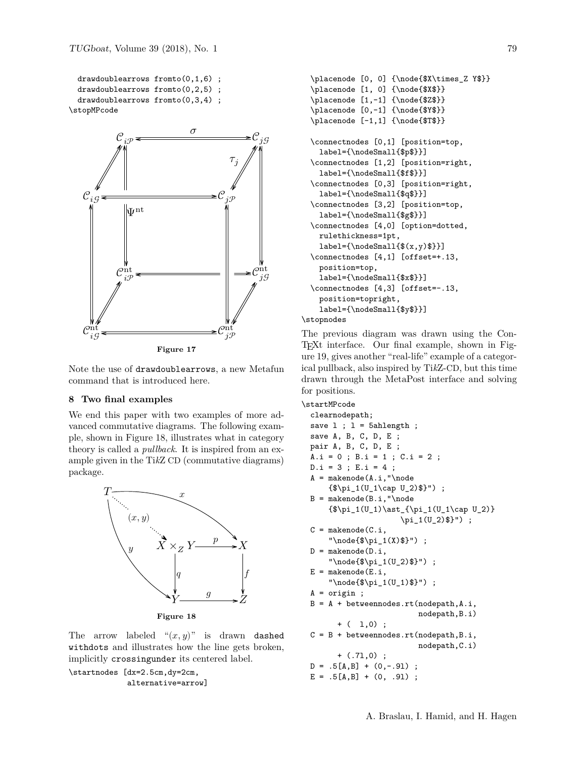```
drawdoublearrows fromto(0,1,6) ;
 drawdoublearrows fromto(0,2,5) ;
 drawdoublearrows fromto(0,3,4) ;
\stopMPcode
```


Note the use of drawdoublearrows, a new Metafun command that is introduced here.

## **8 Two final examples**

We end this paper with two examples of more advanced commutative diagrams. The following example, shown in Figure 18, illustrates what in category theory is called a *pullback*. It is inspired from an example given in the Ti*k*Z CD (commutative diagrams) package.



The arrow labeled " $(x, y)$ " is drawn dashed withdots and illustrates how the line gets broken, implicitly crossingunder its centered label.

```
\startnodes [dx=2.5cm,dy=2cm,
             alternative=arrow]
```

```
\placenode [0, 0] {\node{$X\times_Z Y$}}
  \placenode [1, 0] {\node{$X$}}
  \placenode [1,-1] {\node{$Z$}}
  \placenode [0,-1] {\node{$Y$}}
  \placenode [-1,1] {\node{$T$}}
  \connectnodes [0,1] [position=top,
    label={\nodeSmall{$p$}}]
  \connectnodes [1,2] [position=right,
    label={\nodeSmall{$f$}}]
  \connectnodes [0,3] [position=right,
    label={\nodeSmall{$q$}}]
  \connectnodes [3,2] [position=top,
    label={\nodeSmall{$g$}}]
  \connectnodes [4,0] [option=dotted,
    rulethickness=1pt,
    label={\n<math>\{f(x,y)\}]
  \connectnodes [4,1] [offset=+.13,
    position=top,
    label={\nodeSmall{$x$}}]
  \connectnodes [4,3] [offset=-.13,
    position=topright,
    label={\nodeSmall{$y$}}]
\stopnodes
```
The previous diagram was drawn using the Con-TEXt interface. Our final example, shown in Figure 19, gives another "real-life" example of a categorical pullback, also inspired by Ti*k*Z-CD, but this time drawn through the MetaPost interface and solving for positions.

### \startMPcode

```
clearnodepath;
save 1 ; 1 = 5ahlength ;
save A, B, C, D, E ;
pair A, B, C, D, E ;
A.i = 0; B.i = 1; C.i = 2;
D.i = 3 ; E.i = 4 ;
A = makenode(A.i,'')node{\$ \pi_1(U_1\cap U_2)\ ") ;
B = makenode(B.i,'')node{\phi_1(U_1)\ast_{\pi_1(U_1\cap U_2)}\pi_1(U_2)$}") ;
C = makenode(C.i, ...)"\node{$\pi_1(X)$}") ;
D = makenode(D.i,"\node{$\pi_1(U_2)$}") ;
E = makenode(E.i, ...)"\node{$\pi_1(U_1)$}") ;
A = origin;
B = A + between modes.rt (nodepath, A.i,nodepath,B.i)
      + ( 1,0);
C = B + between modes.rt (nodepath, B.i,nodepath,C.i)
      + (.7l,0) ;
D = .5[A,B] + (0,-.91);
E = .5[A,B] + (0, .91);
```